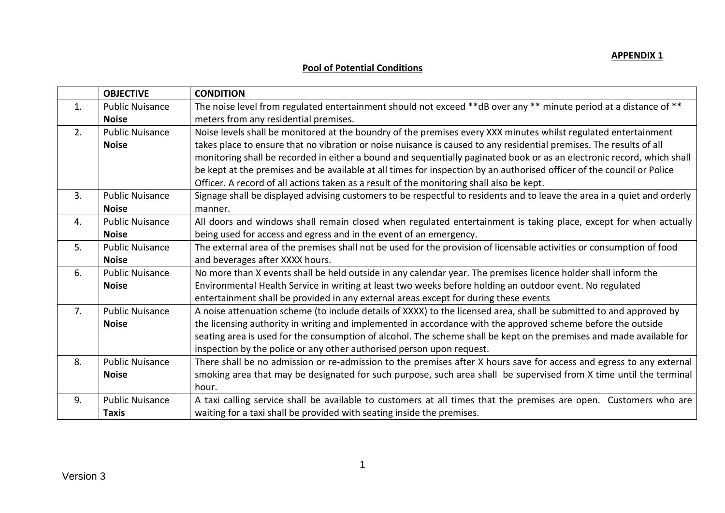## **APPENDIX 1**

## **Pool of Potential Conditions**

|    | <b>OBJECTIVE</b>       | <b>CONDITION</b>                                                                                                         |
|----|------------------------|--------------------------------------------------------------------------------------------------------------------------|
| 1. | <b>Public Nuisance</b> | The noise level from regulated entertainment should not exceed **dB over any ** minute period at a distance of **        |
|    | <b>Noise</b>           | meters from any residential premises.                                                                                    |
| 2. | <b>Public Nuisance</b> | Noise levels shall be monitored at the boundry of the premises every XXX minutes whilst regulated entertainment          |
|    | <b>Noise</b>           | takes place to ensure that no vibration or noise nuisance is caused to any residential premises. The results of all      |
|    |                        | monitoring shall be recorded in either a bound and sequentially paginated book or as an electronic record, which shall   |
|    |                        | be kept at the premises and be available at all times for inspection by an authorised officer of the council or Police   |
|    |                        | Officer. A record of all actions taken as a result of the monitoring shall also be kept.                                 |
| 3. | <b>Public Nuisance</b> | Signage shall be displayed advising customers to be respectful to residents and to leave the area in a quiet and orderly |
|    | <b>Noise</b>           | manner.                                                                                                                  |
| 4. | <b>Public Nuisance</b> | All doors and windows shall remain closed when regulated entertainment is taking place, except for when actually         |
|    | <b>Noise</b>           | being used for access and egress and in the event of an emergency.                                                       |
| 5. | <b>Public Nuisance</b> | The external area of the premises shall not be used for the provision of licensable activities or consumption of food    |
|    | <b>Noise</b>           | and beverages after XXXX hours.                                                                                          |
| 6. | <b>Public Nuisance</b> | No more than X events shall be held outside in any calendar year. The premises licence holder shall inform the           |
|    | <b>Noise</b>           | Environmental Health Service in writing at least two weeks before holding an outdoor event. No regulated                 |
|    |                        | entertainment shall be provided in any external areas except for during these events                                     |
| 7. | <b>Public Nuisance</b> | A noise attenuation scheme (to include details of XXXX) to the licensed area, shall be submitted to and approved by      |
|    | <b>Noise</b>           | the licensing authority in writing and implemented in accordance with the approved scheme before the outside             |
|    |                        | seating area is used for the consumption of alcohol. The scheme shall be kept on the premises and made available for     |
|    |                        | inspection by the police or any other authorised person upon request.                                                    |
| 8. | <b>Public Nuisance</b> | There shall be no admission or re-admission to the premises after X hours save for access and egress to any external     |
|    | <b>Noise</b>           | smoking area that may be designated for such purpose, such area shall be supervised from X time until the terminal       |
|    |                        | hour.                                                                                                                    |
| 9. | <b>Public Nuisance</b> | A taxi calling service shall be available to customers at all times that the premises are open. Customers who are        |
|    | <b>Taxis</b>           | waiting for a taxi shall be provided with seating inside the premises.                                                   |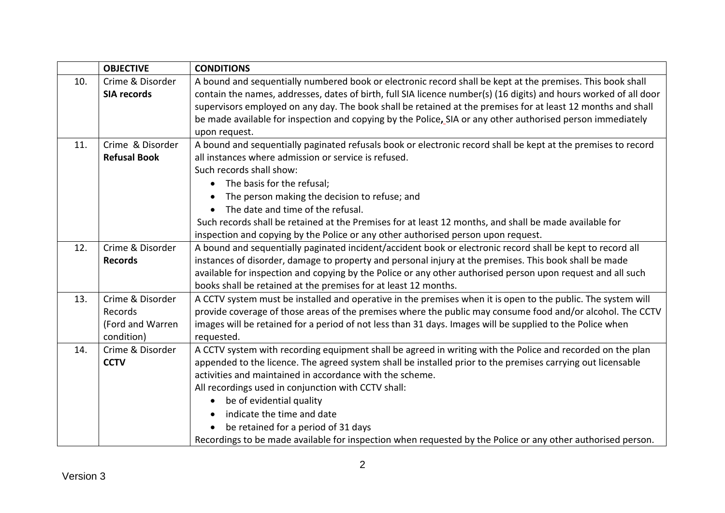|     | <b>OBJECTIVE</b>                                              | <b>CONDITIONS</b>                                                                                                                                                                                                                                                                                                                                                                                                                                                                                                                                                         |
|-----|---------------------------------------------------------------|---------------------------------------------------------------------------------------------------------------------------------------------------------------------------------------------------------------------------------------------------------------------------------------------------------------------------------------------------------------------------------------------------------------------------------------------------------------------------------------------------------------------------------------------------------------------------|
| 10. | Crime & Disorder<br><b>SIA records</b>                        | A bound and sequentially numbered book or electronic record shall be kept at the premises. This book shall<br>contain the names, addresses, dates of birth, full SIA licence number(s) (16 digits) and hours worked of all door                                                                                                                                                                                                                                                                                                                                           |
|     |                                                               | supervisors employed on any day. The book shall be retained at the premises for at least 12 months and shall<br>be made available for inspection and copying by the Police, SIA or any other authorised person immediately<br>upon request.                                                                                                                                                                                                                                                                                                                               |
| 11. | Crime & Disorder<br><b>Refusal Book</b>                       | A bound and sequentially paginated refusals book or electronic record shall be kept at the premises to record<br>all instances where admission or service is refused.<br>Such records shall show:<br>• The basis for the refusal;<br>The person making the decision to refuse; and<br>The date and time of the refusal.<br>$\bullet$<br>Such records shall be retained at the Premises for at least 12 months, and shall be made available for<br>inspection and copying by the Police or any other authorised person upon request.                                       |
| 12. | Crime & Disorder<br><b>Records</b>                            | A bound and sequentially paginated incident/accident book or electronic record shall be kept to record all<br>instances of disorder, damage to property and personal injury at the premises. This book shall be made<br>available for inspection and copying by the Police or any other authorised person upon request and all such<br>books shall be retained at the premises for at least 12 months.                                                                                                                                                                    |
| 13. | Crime & Disorder<br>Records<br>(Ford and Warren<br>condition) | A CCTV system must be installed and operative in the premises when it is open to the public. The system will<br>provide coverage of those areas of the premises where the public may consume food and/or alcohol. The CCTV<br>images will be retained for a period of not less than 31 days. Images will be supplied to the Police when<br>requested.                                                                                                                                                                                                                     |
| 14. | Crime & Disorder<br><b>CCTV</b>                               | A CCTV system with recording equipment shall be agreed in writing with the Police and recorded on the plan<br>appended to the licence. The agreed system shall be installed prior to the premises carrying out licensable<br>activities and maintained in accordance with the scheme.<br>All recordings used in conjunction with CCTV shall:<br>be of evidential quality<br>$\bullet$<br>indicate the time and date<br>be retained for a period of 31 days<br>Recordings to be made available for inspection when requested by the Police or any other authorised person. |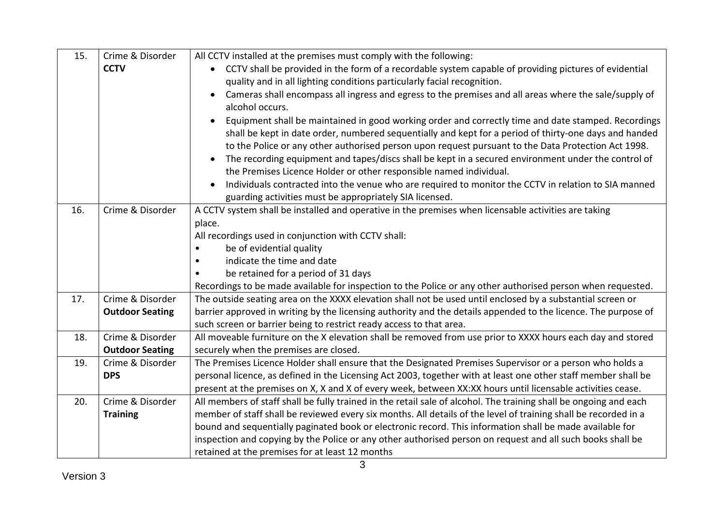| 15. | Crime & Disorder       | All CCTV installed at the premises must comply with the following:                                                |
|-----|------------------------|-------------------------------------------------------------------------------------------------------------------|
|     | <b>CCTV</b>            | CCTV shall be provided in the form of a recordable system capable of providing pictures of evidential             |
|     |                        | quality and in all lighting conditions particularly facial recognition.                                           |
|     |                        | Cameras shall encompass all ingress and egress to the premises and all areas where the sale/supply of             |
|     |                        | alcohol occurs.                                                                                                   |
|     |                        | Equipment shall be maintained in good working order and correctly time and date stamped. Recordings               |
|     |                        | shall be kept in date order, numbered sequentially and kept for a period of thirty-one days and handed            |
|     |                        | to the Police or any other authorised person upon request pursuant to the Data Protection Act 1998.               |
|     |                        | The recording equipment and tapes/discs shall be kept in a secured environment under the control of               |
|     |                        | the Premises Licence Holder or other responsible named individual.                                                |
|     |                        | Individuals contracted into the venue who are required to monitor the CCTV in relation to SIA manned              |
|     |                        | guarding activities must be appropriately SIA licensed.                                                           |
| 16. | Crime & Disorder       | A CCTV system shall be installed and operative in the premises when licensable activities are taking              |
|     |                        | place.                                                                                                            |
|     |                        | All recordings used in conjunction with CCTV shall:                                                               |
|     |                        | be of evidential quality                                                                                          |
|     |                        | indicate the time and date                                                                                        |
|     |                        | be retained for a period of 31 days                                                                               |
|     |                        | Recordings to be made available for inspection to the Police or any other authorised person when requested.       |
| 17. | Crime & Disorder       | The outside seating area on the XXXX elevation shall not be used until enclosed by a substantial screen or        |
|     | <b>Outdoor Seating</b> | barrier approved in writing by the licensing authority and the details appended to the licence. The purpose of    |
|     |                        | such screen or barrier being to restrict ready access to that area.                                               |
| 18. | Crime & Disorder       | All moveable furniture on the X elevation shall be removed from use prior to XXXX hours each day and stored       |
|     | <b>Outdoor Seating</b> | securely when the premises are closed.                                                                            |
| 19. | Crime & Disorder       | The Premises Licence Holder shall ensure that the Designated Premises Supervisor or a person who holds a          |
|     | <b>DPS</b>             | personal licence, as defined in the Licensing Act 2003, together with at least one other staff member shall be    |
|     |                        | present at the premises on X, X and X of every week, between XX:XX hours until licensable activities cease.       |
| 20. | Crime & Disorder       | All members of staff shall be fully trained in the retail sale of alcohol. The training shall be ongoing and each |
|     | <b>Training</b>        | member of staff shall be reviewed every six months. All details of the level of training shall be recorded in a   |
|     |                        | bound and sequentially paginated book or electronic record. This information shall be made available for          |
|     |                        | inspection and copying by the Police or any other authorised person on request and all such books shall be        |
|     |                        | retained at the premises for at least 12 months                                                                   |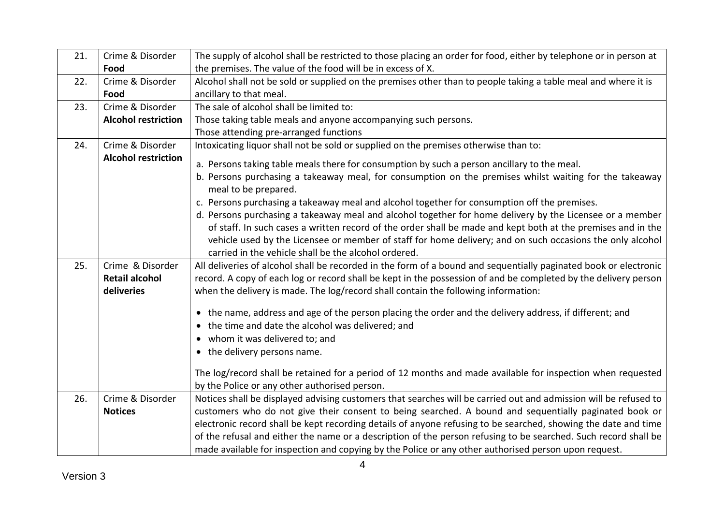| 21. | Crime & Disorder           | The supply of alcohol shall be restricted to those placing an order for food, either by telephone or in person at |
|-----|----------------------------|-------------------------------------------------------------------------------------------------------------------|
|     | Food                       | the premises. The value of the food will be in excess of X.                                                       |
| 22. | Crime & Disorder           | Alcohol shall not be sold or supplied on the premises other than to people taking a table meal and where it is    |
|     | Food                       | ancillary to that meal.                                                                                           |
| 23. | Crime & Disorder           | The sale of alcohol shall be limited to:                                                                          |
|     | <b>Alcohol restriction</b> | Those taking table meals and anyone accompanying such persons.                                                    |
|     |                            | Those attending pre-arranged functions                                                                            |
| 24. | Crime & Disorder           | Intoxicating liquor shall not be sold or supplied on the premises otherwise than to:                              |
|     | <b>Alcohol restriction</b> | a. Persons taking table meals there for consumption by such a person ancillary to the meal.                       |
|     |                            | b. Persons purchasing a takeaway meal, for consumption on the premises whilst waiting for the takeaway            |
|     |                            | meal to be prepared.                                                                                              |
|     |                            | c. Persons purchasing a takeaway meal and alcohol together for consumption off the premises.                      |
|     |                            | d. Persons purchasing a takeaway meal and alcohol together for home delivery by the Licensee or a member          |
|     |                            | of staff. In such cases a written record of the order shall be made and kept both at the premises and in the      |
|     |                            | vehicle used by the Licensee or member of staff for home delivery; and on such occasions the only alcohol         |
|     |                            | carried in the vehicle shall be the alcohol ordered.                                                              |
| 25. | Crime & Disorder           | All deliveries of alcohol shall be recorded in the form of a bound and sequentially paginated book or electronic  |
|     | <b>Retail alcohol</b>      | record. A copy of each log or record shall be kept in the possession of and be completed by the delivery person   |
|     | deliveries                 | when the delivery is made. The log/record shall contain the following information:                                |
|     |                            | • the name, address and age of the person placing the order and the delivery address, if different; and           |
|     |                            | the time and date the alcohol was delivered; and                                                                  |
|     |                            | • whom it was delivered to; and                                                                                   |
|     |                            | • the delivery persons name.                                                                                      |
|     |                            |                                                                                                                   |
|     |                            | The log/record shall be retained for a period of 12 months and made available for inspection when requested       |
|     |                            | by the Police or any other authorised person.                                                                     |
| 26. | Crime & Disorder           | Notices shall be displayed advising customers that searches will be carried out and admission will be refused to  |
|     | <b>Notices</b>             | customers who do not give their consent to being searched. A bound and sequentially paginated book or             |
|     |                            | electronic record shall be kept recording details of anyone refusing to be searched, showing the date and time    |
|     |                            | of the refusal and either the name or a description of the person refusing to be searched. Such record shall be   |
|     |                            | made available for inspection and copying by the Police or any other authorised person upon request.              |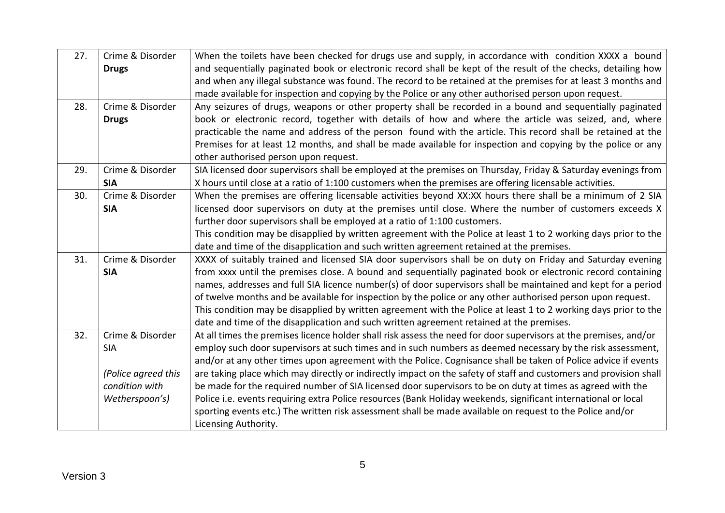| 27. | Crime & Disorder<br><b>Drugs</b> | When the toilets have been checked for drugs use and supply, in accordance with condition XXXX a bound<br>and sequentially paginated book or electronic record shall be kept of the result of the checks, detailing how |
|-----|----------------------------------|-------------------------------------------------------------------------------------------------------------------------------------------------------------------------------------------------------------------------|
|     |                                  | and when any illegal substance was found. The record to be retained at the premises for at least 3 months and                                                                                                           |
|     |                                  | made available for inspection and copying by the Police or any other authorised person upon request.                                                                                                                    |
| 28. | Crime & Disorder                 | Any seizures of drugs, weapons or other property shall be recorded in a bound and sequentially paginated                                                                                                                |
|     | <b>Drugs</b>                     | book or electronic record, together with details of how and where the article was seized, and, where                                                                                                                    |
|     |                                  | practicable the name and address of the person found with the article. This record shall be retained at the                                                                                                             |
|     |                                  | Premises for at least 12 months, and shall be made available for inspection and copying by the police or any                                                                                                            |
|     |                                  | other authorised person upon request.                                                                                                                                                                                   |
| 29. | Crime & Disorder                 | SIA licensed door supervisors shall be employed at the premises on Thursday, Friday & Saturday evenings from                                                                                                            |
|     | <b>SIA</b>                       | X hours until close at a ratio of 1:100 customers when the premises are offering licensable activities.                                                                                                                 |
| 30. | Crime & Disorder                 | When the premises are offering licensable activities beyond XX:XX hours there shall be a minimum of 2 SIA                                                                                                               |
|     | <b>SIA</b>                       | licensed door supervisors on duty at the premises until close. Where the number of customers exceeds X                                                                                                                  |
|     |                                  | further door supervisors shall be employed at a ratio of 1:100 customers.                                                                                                                                               |
|     |                                  | This condition may be disapplied by written agreement with the Police at least 1 to 2 working days prior to the                                                                                                         |
|     |                                  | date and time of the disapplication and such written agreement retained at the premises.                                                                                                                                |
| 31. | Crime & Disorder                 | XXXX of suitably trained and licensed SIA door supervisors shall be on duty on Friday and Saturday evening                                                                                                              |
|     | <b>SIA</b>                       | from xxxx until the premises close. A bound and sequentially paginated book or electronic record containing                                                                                                             |
|     |                                  | names, addresses and full SIA licence number(s) of door supervisors shall be maintained and kept for a period                                                                                                           |
|     |                                  | of twelve months and be available for inspection by the police or any other authorised person upon request.                                                                                                             |
|     |                                  | This condition may be disapplied by written agreement with the Police at least 1 to 2 working days prior to the                                                                                                         |
|     |                                  | date and time of the disapplication and such written agreement retained at the premises.                                                                                                                                |
| 32. | Crime & Disorder                 | At all times the premises licence holder shall risk assess the need for door supervisors at the premises, and/or                                                                                                        |
|     | <b>SIA</b>                       | employ such door supervisors at such times and in such numbers as deemed necessary by the risk assessment,                                                                                                              |
|     |                                  | and/or at any other times upon agreement with the Police. Cognisance shall be taken of Police advice if events                                                                                                          |
|     | (Police agreed this              | are taking place which may directly or indirectly impact on the safety of staff and customers and provision shall                                                                                                       |
|     | condition with                   | be made for the required number of SIA licensed door supervisors to be on duty at times as agreed with the                                                                                                              |
|     | Wetherspoon's)                   | Police i.e. events requiring extra Police resources (Bank Holiday weekends, significant international or local                                                                                                          |
|     |                                  | sporting events etc.) The written risk assessment shall be made available on request to the Police and/or                                                                                                               |
|     |                                  | Licensing Authority.                                                                                                                                                                                                    |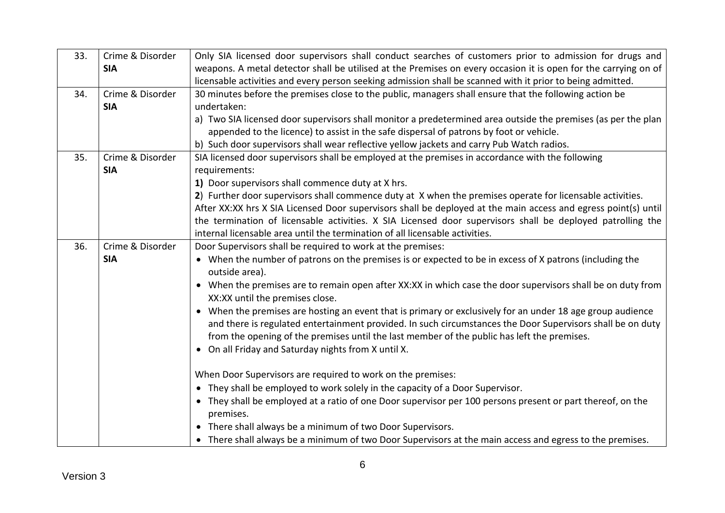| 33. | Crime & Disorder               | Only SIA licensed door supervisors shall conduct searches of customers prior to admission for drugs and                                        |
|-----|--------------------------------|------------------------------------------------------------------------------------------------------------------------------------------------|
|     | <b>SIA</b>                     | weapons. A metal detector shall be utilised at the Premises on every occasion it is open for the carrying on of                                |
|     |                                | licensable activities and every person seeking admission shall be scanned with it prior to being admitted.                                     |
| 34. | Crime & Disorder               | 30 minutes before the premises close to the public, managers shall ensure that the following action be                                         |
|     | <b>SIA</b>                     | undertaken:                                                                                                                                    |
|     |                                | a) Two SIA licensed door supervisors shall monitor a predetermined area outside the premises (as per the plan                                  |
|     |                                | appended to the licence) to assist in the safe dispersal of patrons by foot or vehicle.                                                        |
|     |                                | b) Such door supervisors shall wear reflective yellow jackets and carry Pub Watch radios.                                                      |
| 35. | Crime & Disorder<br><b>SIA</b> | SIA licensed door supervisors shall be employed at the premises in accordance with the following<br>requirements:                              |
|     |                                | 1) Door supervisors shall commence duty at X hrs.                                                                                              |
|     |                                | 2) Further door supervisors shall commence duty at X when the premises operate for licensable activities.                                      |
|     |                                | After XX:XX hrs X SIA Licensed Door supervisors shall be deployed at the main access and egress point(s) until                                 |
|     |                                | the termination of licensable activities. X SIA Licensed door supervisors shall be deployed patrolling the                                     |
|     |                                | internal licensable area until the termination of all licensable activities.                                                                   |
| 36. | Crime & Disorder               | Door Supervisors shall be required to work at the premises:                                                                                    |
|     | <b>SIA</b>                     | • When the number of patrons on the premises is or expected to be in excess of X patrons (including the<br>outside area).                      |
|     |                                | • When the premises are to remain open after XX:XX in which case the door supervisors shall be on duty from<br>XX:XX until the premises close. |
|     |                                | • When the premises are hosting an event that is primary or exclusively for an under 18 age group audience                                     |
|     |                                | and there is regulated entertainment provided. In such circumstances the Door Supervisors shall be on duty                                     |
|     |                                | from the opening of the premises until the last member of the public has left the premises.                                                    |
|     |                                | • On all Friday and Saturday nights from X until X.                                                                                            |
|     |                                | When Door Supervisors are required to work on the premises:                                                                                    |
|     |                                | • They shall be employed to work solely in the capacity of a Door Supervisor.                                                                  |
|     |                                | • They shall be employed at a ratio of one Door supervisor per 100 persons present or part thereof, on the<br>premises.                        |
|     |                                | • There shall always be a minimum of two Door Supervisors.                                                                                     |
|     |                                | • There shall always be a minimum of two Door Supervisors at the main access and egress to the premises.                                       |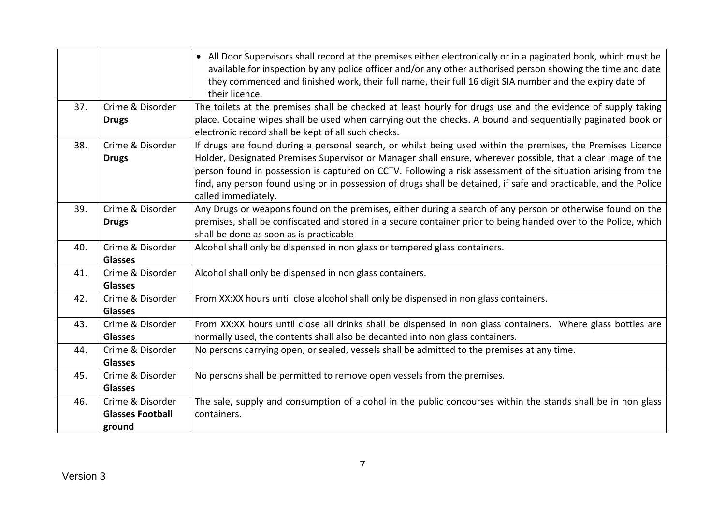|     |                                                       | • All Door Supervisors shall record at the premises either electronically or in a paginated book, which must be<br>available for inspection by any police officer and/or any other authorised person showing the time and date<br>they commenced and finished work, their full name, their full 16 digit SIA number and the expiry date of<br>their licence.                                                                                                                             |
|-----|-------------------------------------------------------|------------------------------------------------------------------------------------------------------------------------------------------------------------------------------------------------------------------------------------------------------------------------------------------------------------------------------------------------------------------------------------------------------------------------------------------------------------------------------------------|
| 37. | Crime & Disorder<br><b>Drugs</b>                      | The toilets at the premises shall be checked at least hourly for drugs use and the evidence of supply taking<br>place. Cocaine wipes shall be used when carrying out the checks. A bound and sequentially paginated book or<br>electronic record shall be kept of all such checks.                                                                                                                                                                                                       |
| 38. | Crime & Disorder<br><b>Drugs</b>                      | If drugs are found during a personal search, or whilst being used within the premises, the Premises Licence<br>Holder, Designated Premises Supervisor or Manager shall ensure, wherever possible, that a clear image of the<br>person found in possession is captured on CCTV. Following a risk assessment of the situation arising from the<br>find, any person found using or in possession of drugs shall be detained, if safe and practicable, and the Police<br>called immediately. |
| 39. | Crime & Disorder<br><b>Drugs</b>                      | Any Drugs or weapons found on the premises, either during a search of any person or otherwise found on the<br>premises, shall be confiscated and stored in a secure container prior to being handed over to the Police, which<br>shall be done as soon as is practicable                                                                                                                                                                                                                 |
| 40. | Crime & Disorder<br><b>Glasses</b>                    | Alcohol shall only be dispensed in non glass or tempered glass containers.                                                                                                                                                                                                                                                                                                                                                                                                               |
| 41. | Crime & Disorder<br><b>Glasses</b>                    | Alcohol shall only be dispensed in non glass containers.                                                                                                                                                                                                                                                                                                                                                                                                                                 |
| 42. | Crime & Disorder<br><b>Glasses</b>                    | From XX:XX hours until close alcohol shall only be dispensed in non glass containers.                                                                                                                                                                                                                                                                                                                                                                                                    |
| 43. | Crime & Disorder<br><b>Glasses</b>                    | From XX:XX hours until close all drinks shall be dispensed in non glass containers. Where glass bottles are<br>normally used, the contents shall also be decanted into non glass containers.                                                                                                                                                                                                                                                                                             |
| 44. | Crime & Disorder<br><b>Glasses</b>                    | No persons carrying open, or sealed, vessels shall be admitted to the premises at any time.                                                                                                                                                                                                                                                                                                                                                                                              |
| 45. | Crime & Disorder<br><b>Glasses</b>                    | No persons shall be permitted to remove open vessels from the premises.                                                                                                                                                                                                                                                                                                                                                                                                                  |
| 46. | Crime & Disorder<br><b>Glasses Football</b><br>ground | The sale, supply and consumption of alcohol in the public concourses within the stands shall be in non glass<br>containers.                                                                                                                                                                                                                                                                                                                                                              |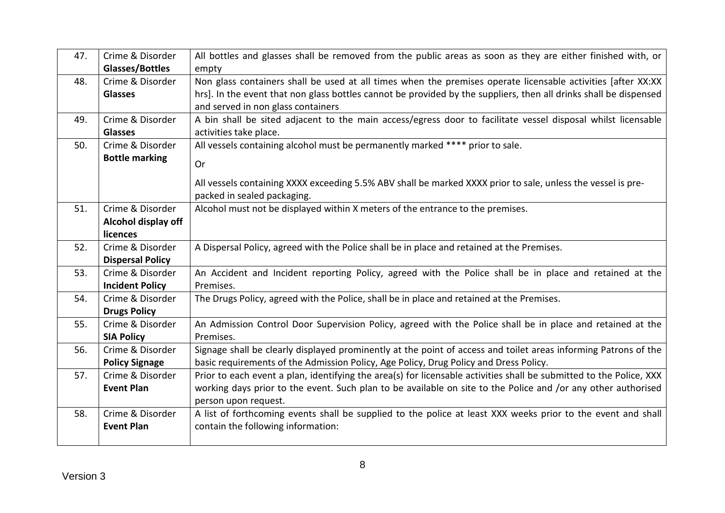| 47. | Crime & Disorder<br>Glasses/Bottles | All bottles and glasses shall be removed from the public areas as soon as they are either finished with, or<br>empty                  |
|-----|-------------------------------------|---------------------------------------------------------------------------------------------------------------------------------------|
| 48. | Crime & Disorder                    | Non glass containers shall be used at all times when the premises operate licensable activities [after XX:XX                          |
|     | <b>Glasses</b>                      | hrs]. In the event that non glass bottles cannot be provided by the suppliers, then all drinks shall be dispensed                     |
|     |                                     | and served in non glass containers                                                                                                    |
| 49. | Crime & Disorder                    | A bin shall be sited adjacent to the main access/egress door to facilitate vessel disposal whilst licensable                          |
|     | <b>Glasses</b>                      | activities take place.                                                                                                                |
| 50. | Crime & Disorder                    | All vessels containing alcohol must be permanently marked **** prior to sale.                                                         |
|     | <b>Bottle marking</b>               | Or                                                                                                                                    |
|     |                                     | All vessels containing XXXX exceeding 5.5% ABV shall be marked XXXX prior to sale, unless the vessel is pre-                          |
|     |                                     | packed in sealed packaging.                                                                                                           |
| 51. | Crime & Disorder                    | Alcohol must not be displayed within X meters of the entrance to the premises.                                                        |
|     | Alcohol display off                 |                                                                                                                                       |
|     | licences                            |                                                                                                                                       |
| 52. | Crime & Disorder                    | A Dispersal Policy, agreed with the Police shall be in place and retained at the Premises.                                            |
|     | <b>Dispersal Policy</b>             |                                                                                                                                       |
| 53. | Crime & Disorder                    | An Accident and Incident reporting Policy, agreed with the Police shall be in place and retained at the                               |
|     | <b>Incident Policy</b>              | Premises.                                                                                                                             |
| 54. | Crime & Disorder                    | The Drugs Policy, agreed with the Police, shall be in place and retained at the Premises.                                             |
|     | <b>Drugs Policy</b>                 |                                                                                                                                       |
| 55. | Crime & Disorder                    | An Admission Control Door Supervision Policy, agreed with the Police shall be in place and retained at the                            |
|     | <b>SIA Policy</b>                   | Premises.                                                                                                                             |
| 56. | Crime & Disorder                    | Signage shall be clearly displayed prominently at the point of access and toilet areas informing Patrons of the                       |
|     | <b>Policy Signage</b>               | basic requirements of the Admission Policy, Age Policy, Drug Policy and Dress Policy.                                                 |
| 57. | Crime & Disorder                    | Prior to each event a plan, identifying the area(s) for licensable activities shall be submitted to the Police, XXX                   |
|     | <b>Event Plan</b>                   | working days prior to the event. Such plan to be available on site to the Police and /or any other authorised<br>person upon request. |
| 58. | Crime & Disorder                    | A list of forthcoming events shall be supplied to the police at least XXX weeks prior to the event and shall                          |
|     | <b>Event Plan</b>                   | contain the following information:                                                                                                    |
|     |                                     |                                                                                                                                       |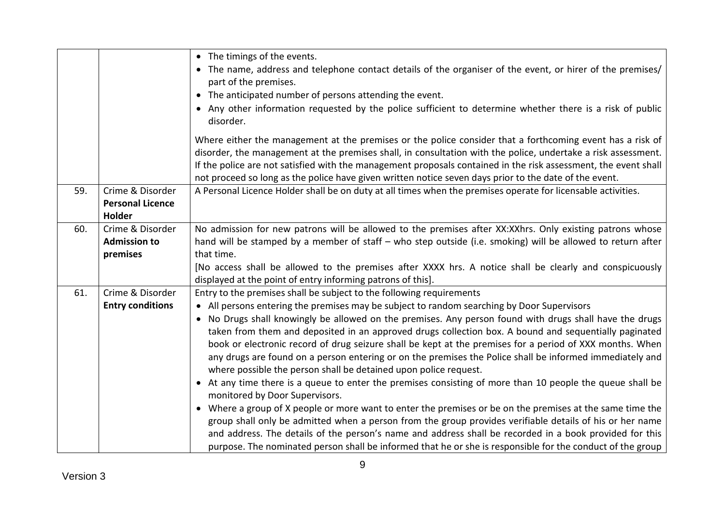|     |                                                       | • The timings of the events.<br>• The name, address and telephone contact details of the organiser of the event, or hirer of the premises/<br>part of the premises.<br>• The anticipated number of persons attending the event.<br>• Any other information requested by the police sufficient to determine whether there is a risk of public<br>disorder.                                                                                                                                                                                                                                                                                                                                                                                                                                                                                                                                                                                                                                                                                                                                                                                                                                                                                                                           |
|-----|-------------------------------------------------------|-------------------------------------------------------------------------------------------------------------------------------------------------------------------------------------------------------------------------------------------------------------------------------------------------------------------------------------------------------------------------------------------------------------------------------------------------------------------------------------------------------------------------------------------------------------------------------------------------------------------------------------------------------------------------------------------------------------------------------------------------------------------------------------------------------------------------------------------------------------------------------------------------------------------------------------------------------------------------------------------------------------------------------------------------------------------------------------------------------------------------------------------------------------------------------------------------------------------------------------------------------------------------------------|
|     |                                                       | Where either the management at the premises or the police consider that a forthcoming event has a risk of<br>disorder, the management at the premises shall, in consultation with the police, undertake a risk assessment.<br>If the police are not satisfied with the management proposals contained in the risk assessment, the event shall<br>not proceed so long as the police have given written notice seven days prior to the date of the event.                                                                                                                                                                                                                                                                                                                                                                                                                                                                                                                                                                                                                                                                                                                                                                                                                             |
| 59. | Crime & Disorder<br><b>Personal Licence</b><br>Holder | A Personal Licence Holder shall be on duty at all times when the premises operate for licensable activities.                                                                                                                                                                                                                                                                                                                                                                                                                                                                                                                                                                                                                                                                                                                                                                                                                                                                                                                                                                                                                                                                                                                                                                        |
| 60. | Crime & Disorder<br><b>Admission to</b><br>premises   | No admission for new patrons will be allowed to the premises after XX:XXhrs. Only existing patrons whose<br>hand will be stamped by a member of staff - who step outside (i.e. smoking) will be allowed to return after<br>that time.<br>[No access shall be allowed to the premises after XXXX hrs. A notice shall be clearly and conspicuously<br>displayed at the point of entry informing patrons of this].                                                                                                                                                                                                                                                                                                                                                                                                                                                                                                                                                                                                                                                                                                                                                                                                                                                                     |
| 61. | Crime & Disorder<br><b>Entry conditions</b>           | Entry to the premises shall be subject to the following requirements<br>• All persons entering the premises may be subject to random searching by Door Supervisors<br>• No Drugs shall knowingly be allowed on the premises. Any person found with drugs shall have the drugs<br>taken from them and deposited in an approved drugs collection box. A bound and sequentially paginated<br>book or electronic record of drug seizure shall be kept at the premises for a period of XXX months. When<br>any drugs are found on a person entering or on the premises the Police shall be informed immediately and<br>where possible the person shall be detained upon police request.<br>• At any time there is a queue to enter the premises consisting of more than 10 people the queue shall be<br>monitored by Door Supervisors.<br>• Where a group of X people or more want to enter the premises or be on the premises at the same time the<br>group shall only be admitted when a person from the group provides verifiable details of his or her name<br>and address. The details of the person's name and address shall be recorded in a book provided for this<br>purpose. The nominated person shall be informed that he or she is responsible for the conduct of the group |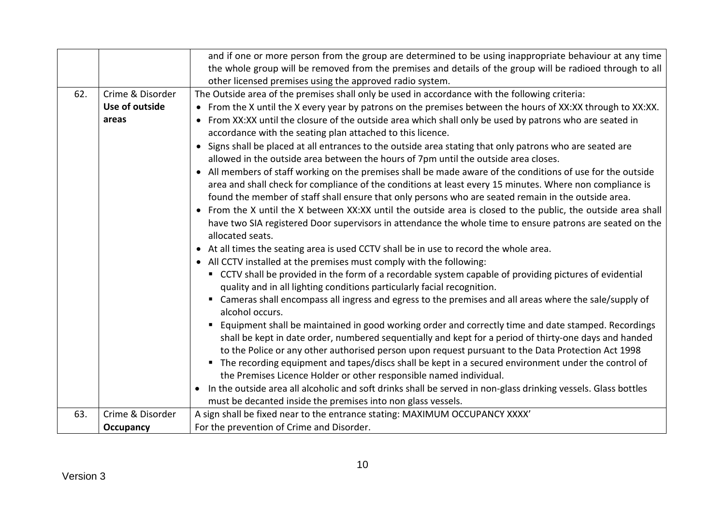|     |                         | and if one or more person from the group are determined to be using inappropriate behaviour at any time<br>the whole group will be removed from the premises and details of the group will be radioed through to all                                                                                                                                                                                                                                                                               |
|-----|-------------------------|----------------------------------------------------------------------------------------------------------------------------------------------------------------------------------------------------------------------------------------------------------------------------------------------------------------------------------------------------------------------------------------------------------------------------------------------------------------------------------------------------|
|     |                         | other licensed premises using the approved radio system.                                                                                                                                                                                                                                                                                                                                                                                                                                           |
| 62. | Crime & Disorder        | The Outside area of the premises shall only be used in accordance with the following criteria:                                                                                                                                                                                                                                                                                                                                                                                                     |
|     | Use of outside<br>areas | • From the X until the X every year by patrons on the premises between the hours of XX:XX through to XX:XX.<br>From XX:XX until the closure of the outside area which shall only be used by patrons who are seated in<br>accordance with the seating plan attached to this licence.                                                                                                                                                                                                                |
|     |                         | • Signs shall be placed at all entrances to the outside area stating that only patrons who are seated are<br>allowed in the outside area between the hours of 7pm until the outside area closes.                                                                                                                                                                                                                                                                                                   |
|     |                         | • All members of staff working on the premises shall be made aware of the conditions of use for the outside<br>area and shall check for compliance of the conditions at least every 15 minutes. Where non compliance is<br>found the member of staff shall ensure that only persons who are seated remain in the outside area.                                                                                                                                                                     |
|     |                         | From the X until the X between XX:XX until the outside area is closed to the public, the outside area shall<br>$\bullet$<br>have two SIA registered Door supervisors in attendance the whole time to ensure patrons are seated on the<br>allocated seats.                                                                                                                                                                                                                                          |
|     |                         | • At all times the seating area is used CCTV shall be in use to record the whole area.                                                                                                                                                                                                                                                                                                                                                                                                             |
|     |                         | • All CCTV installed at the premises must comply with the following:                                                                                                                                                                                                                                                                                                                                                                                                                               |
|     |                         | • CCTV shall be provided in the form of a recordable system capable of providing pictures of evidential<br>quality and in all lighting conditions particularly facial recognition.                                                                                                                                                                                                                                                                                                                 |
|     |                         | • Cameras shall encompass all ingress and egress to the premises and all areas where the sale/supply of<br>alcohol occurs.                                                                                                                                                                                                                                                                                                                                                                         |
|     |                         | Equipment shall be maintained in good working order and correctly time and date stamped. Recordings<br>shall be kept in date order, numbered sequentially and kept for a period of thirty-one days and handed<br>to the Police or any other authorised person upon request pursuant to the Data Protection Act 1998<br>• The recording equipment and tapes/discs shall be kept in a secured environment under the control of<br>the Premises Licence Holder or other responsible named individual. |
|     |                         | In the outside area all alcoholic and soft drinks shall be served in non-glass drinking vessels. Glass bottles<br>must be decanted inside the premises into non glass vessels.                                                                                                                                                                                                                                                                                                                     |
| 63. | Crime & Disorder        | A sign shall be fixed near to the entrance stating: MAXIMUM OCCUPANCY XXXX'                                                                                                                                                                                                                                                                                                                                                                                                                        |
|     | Occupancy               | For the prevention of Crime and Disorder.                                                                                                                                                                                                                                                                                                                                                                                                                                                          |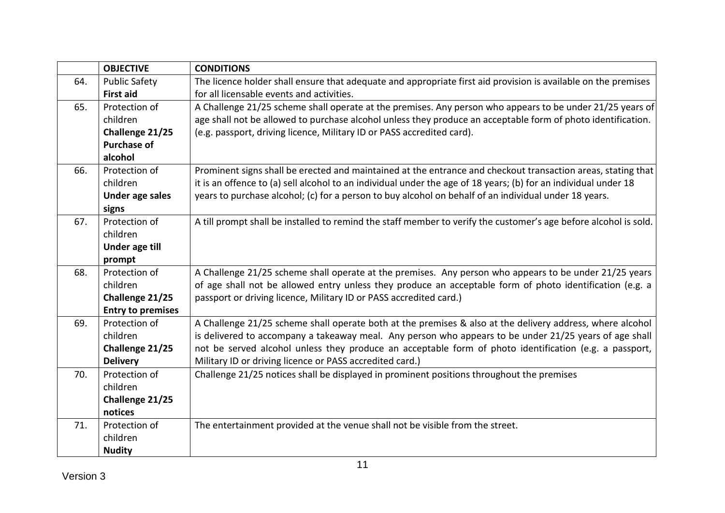|     | <b>OBJECTIVE</b>         | <b>CONDITIONS</b>                                                                                                |
|-----|--------------------------|------------------------------------------------------------------------------------------------------------------|
| 64. | <b>Public Safety</b>     | The licence holder shall ensure that adequate and appropriate first aid provision is available on the premises   |
|     | <b>First aid</b>         | for all licensable events and activities.                                                                        |
| 65. | Protection of            | A Challenge 21/25 scheme shall operate at the premises. Any person who appears to be under 21/25 years of        |
|     | children                 | age shall not be allowed to purchase alcohol unless they produce an acceptable form of photo identification.     |
|     | Challenge 21/25          | (e.g. passport, driving licence, Military ID or PASS accredited card).                                           |
|     | <b>Purchase of</b>       |                                                                                                                  |
|     | alcohol                  |                                                                                                                  |
| 66. | Protection of            | Prominent signs shall be erected and maintained at the entrance and checkout transaction areas, stating that     |
|     | children                 | it is an offence to (a) sell alcohol to an individual under the age of 18 years; (b) for an individual under 18  |
|     | <b>Under age sales</b>   | years to purchase alcohol; (c) for a person to buy alcohol on behalf of an individual under 18 years.            |
|     | signs                    |                                                                                                                  |
| 67. | Protection of            | A till prompt shall be installed to remind the staff member to verify the customer's age before alcohol is sold. |
|     | children                 |                                                                                                                  |
|     | Under age till           |                                                                                                                  |
|     | prompt                   |                                                                                                                  |
| 68. | Protection of            | A Challenge 21/25 scheme shall operate at the premises. Any person who appears to be under 21/25 years           |
|     | children                 | of age shall not be allowed entry unless they produce an acceptable form of photo identification (e.g. a         |
|     | Challenge 21/25          | passport or driving licence, Military ID or PASS accredited card.)                                               |
|     | <b>Entry to premises</b> |                                                                                                                  |
| 69. | Protection of            | A Challenge 21/25 scheme shall operate both at the premises & also at the delivery address, where alcohol        |
|     | children                 | is delivered to accompany a takeaway meal. Any person who appears to be under 21/25 years of age shall           |
|     | Challenge 21/25          | not be served alcohol unless they produce an acceptable form of photo identification (e.g. a passport,           |
|     | <b>Delivery</b>          | Military ID or driving licence or PASS accredited card.)                                                         |
| 70. | Protection of            | Challenge 21/25 notices shall be displayed in prominent positions throughout the premises                        |
|     | children                 |                                                                                                                  |
|     | Challenge 21/25          |                                                                                                                  |
|     | notices                  |                                                                                                                  |
| 71. | Protection of            | The entertainment provided at the venue shall not be visible from the street.                                    |
|     | children                 |                                                                                                                  |
|     | <b>Nudity</b>            |                                                                                                                  |